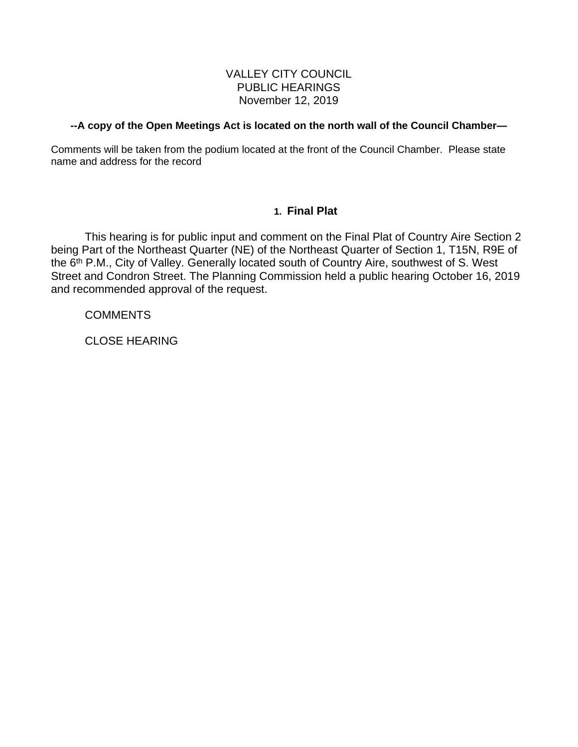# VALLEY CITY COUNCIL PUBLIC HEARINGS November 12, 2019

#### **--A copy of the Open Meetings Act is located on the north wall of the Council Chamber—**

Comments will be taken from the podium located at the front of the Council Chamber. Please state name and address for the record

## **1. Final Plat**

This hearing is for public input and comment on the Final Plat of Country Aire Section 2 being Part of the Northeast Quarter (NE) of the Northeast Quarter of Section 1, T15N, R9E of the 6<sup>th</sup> P.M., City of Valley. Generally located south of Country Aire, southwest of S. West Street and Condron Street. The Planning Commission held a public hearing October 16, 2019 and recommended approval of the request.

**COMMENTS** 

CLOSE HEARING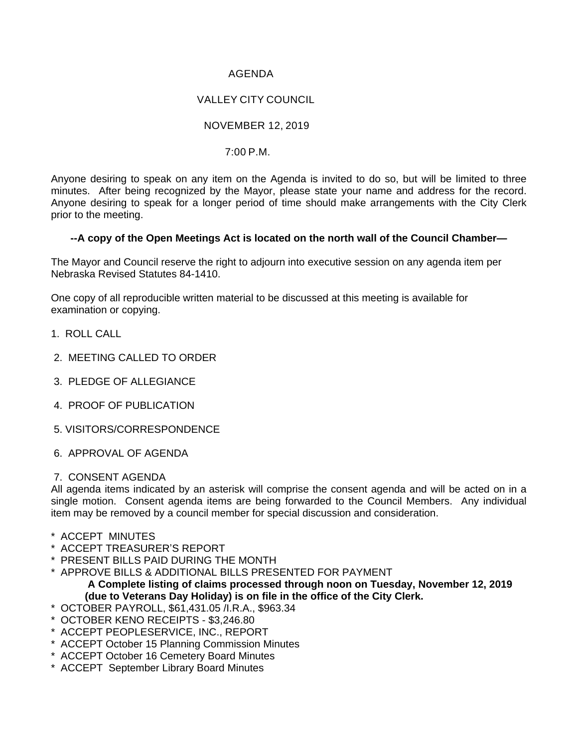## AGENDA

# VALLEY CITY COUNCIL

## NOVEMBER 12, 2019

#### 7:00 P.M.

Anyone desiring to speak on any item on the Agenda is invited to do so, but will be limited to three minutes. After being recognized by the Mayor, please state your name and address for the record. Anyone desiring to speak for a longer period of time should make arrangements with the City Clerk prior to the meeting.

#### **--A copy of the Open Meetings Act is located on the north wall of the Council Chamber—**

The Mayor and Council reserve the right to adjourn into executive session on any agenda item per Nebraska Revised Statutes 84-1410.

One copy of all reproducible written material to be discussed at this meeting is available for examination or copying.

- 1. ROLL CALL
- 2. MEETING CALLED TO ORDER
- 3. PLEDGE OF ALLEGIANCE
- 4. PROOF OF PUBLICATION
- 5. VISITORS/CORRESPONDENCE
- 6. APPROVAL OF AGENDA

#### 7. CONSENT AGENDA

All agenda items indicated by an asterisk will comprise the consent agenda and will be acted on in a single motion. Consent agenda items are being forwarded to the Council Members. Any individual item may be removed by a council member for special discussion and consideration.

- \* ACCEPT MINUTES
- \* ACCEPT TREASURER'S REPORT
- \* PRESENT BILLS PAID DURING THE MONTH
- \* APPROVE BILLS & ADDITIONAL BILLS PRESENTED FOR PAYMENT **A Complete listing of claims processed through noon on Tuesday, November 12, 2019 (due to Veterans Day Holiday) is on file in the office of the City Clerk.**
- \* OCTOBER PAYROLL, \$61,431.05 /I.R.A., \$963.34
- \* OCTOBER KENO RECEIPTS \$3,246.80
- \* ACCEPT PEOPLESERVICE, INC., REPORT
- \* ACCEPT October 15 Planning Commission Minutes
- \* ACCEPT October 16 Cemetery Board Minutes
- \* ACCEPT September Library Board Minutes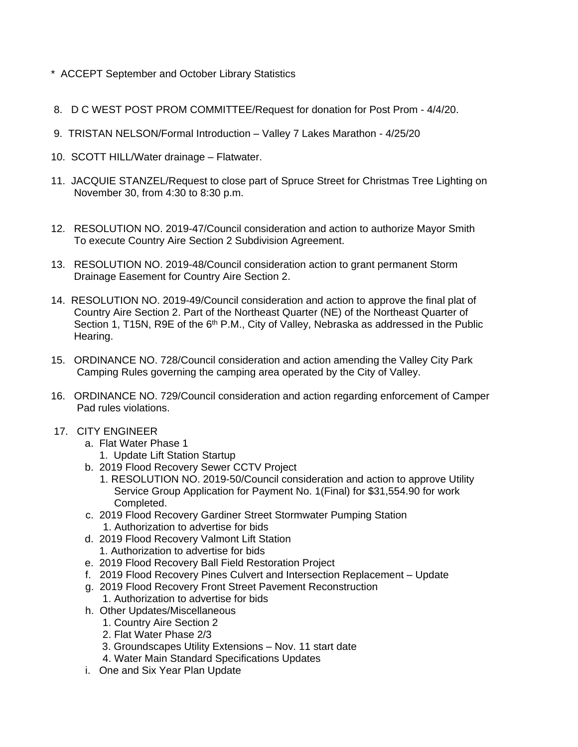- \* ACCEPT September and October Library Statistics
- 8. D C WEST POST PROM COMMITTEE/Request for donation for Post Prom 4/4/20.
- 9. TRISTAN NELSON/Formal Introduction Valley 7 Lakes Marathon 4/25/20
- 10. SCOTT HILL/Water drainage Flatwater.
- 11. JACQUIE STANZEL/Request to close part of Spruce Street for Christmas Tree Lighting on November 30, from 4:30 to 8:30 p.m.
- 12. RESOLUTION NO. 2019-47/Council consideration and action to authorize Mayor Smith To execute Country Aire Section 2 Subdivision Agreement.
- 13. RESOLUTION NO. 2019-48/Council consideration action to grant permanent Storm Drainage Easement for Country Aire Section 2.
- 14. RESOLUTION NO. 2019-49/Council consideration and action to approve the final plat of Country Aire Section 2. Part of the Northeast Quarter (NE) of the Northeast Quarter of Section 1, T15N, R9E of the 6<sup>th</sup> P.M., City of Valley, Nebraska as addressed in the Public Hearing.
- 15. ORDINANCE NO. 728/Council consideration and action amending the Valley City Park Camping Rules governing the camping area operated by the City of Valley.
- 16. ORDINANCE NO. 729/Council consideration and action regarding enforcement of Camper Pad rules violations.
- 17. CITY ENGINEER
	- a. Flat Water Phase 1
		- 1. Update Lift Station Startup
	- b. 2019 Flood Recovery Sewer CCTV Project
		- 1. RESOLUTION NO. 2019-50/Council consideration and action to approve Utility Service Group Application for Payment No. 1(Final) for \$31,554.90 for work Completed.
	- c. 2019 Flood Recovery Gardiner Street Stormwater Pumping Station 1. Authorization to advertise for bids
	- d. 2019 Flood Recovery Valmont Lift Station 1. Authorization to advertise for bids
	- e. 2019 Flood Recovery Ball Field Restoration Project
	- f. 2019 Flood Recovery Pines Culvert and Intersection Replacement Update
	- g. 2019 Flood Recovery Front Street Pavement Reconstruction
		- 1. Authorization to advertise for bids
	- h. Other Updates/Miscellaneous
		- 1. Country Aire Section 2
		- 2. Flat Water Phase 2/3
		- 3. Groundscapes Utility Extensions Nov. 11 start date
		- 4. Water Main Standard Specifications Updates
	- i. One and Six Year Plan Update